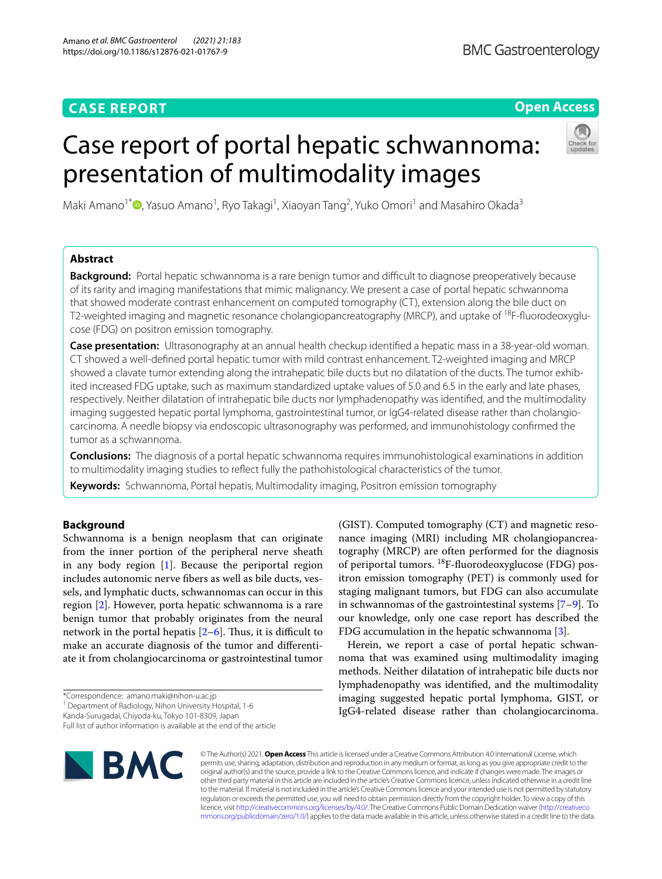## **CASE REPORT**

## **Open Access**

# Case report of portal hepatic schwannoma: presentation of multimodality images



Maki Amano<sup>1\*</sup> D[,](http://orcid.org/0000-0002-4207-5946) Yasuo Amano<sup>1</sup>, Ryo Takagi<sup>1</sup>, Xiaoyan Tang<sup>2</sup>, Yuko Omori<sup>1</sup> and Masahiro Okada<sup>3</sup>

## **Abstract**

**Background:** Portal hepatic schwannoma is a rare benign tumor and difficult to diagnose preoperatively because of its rarity and imaging manifestations that mimic malignancy. We present a case of portal hepatic schwannoma that showed moderate contrast enhancement on computed tomography (CT), extension along the bile duct on T2-weighted imaging and magnetic resonance cholangiopancreatography (MRCP), and uptake of <sup>18</sup>F-fluorodeoxyglucose (FDG) on positron emission tomography.

**Case presentation:** Ultrasonography at an annual health checkup identifed a hepatic mass in a 38-year-old woman. CT showed a well-defned portal hepatic tumor with mild contrast enhancement. T2-weighted imaging and MRCP showed a clavate tumor extending along the intrahepatic bile ducts but no dilatation of the ducts. The tumor exhibited increased FDG uptake, such as maximum standardized uptake values of 5.0 and 6.5 in the early and late phases, respectively. Neither dilatation of intrahepatic bile ducts nor lymphadenopathy was identifed, and the multimodality imaging suggested hepatic portal lymphoma, gastrointestinal tumor, or IgG4-related disease rather than cholangiocarcinoma. A needle biopsy via endoscopic ultrasonography was performed, and immunohistology confrmed the tumor as a schwannoma.

**Conclusions:** The diagnosis of a portal hepatic schwannoma requires immunohistological examinations in addition to multimodality imaging studies to refect fully the pathohistological characteristics of the tumor.

**Keywords:** Schwannoma, Portal hepatis, Multimodality imaging, Positron emission tomography

## **Background**

Schwannoma is a benign neoplasm that can originate from the inner portion of the peripheral nerve sheath in any body region [[1\]](#page-3-0). Because the periportal region includes autonomic nerve fbers as well as bile ducts, vessels, and lymphatic ducts, schwannomas can occur in this region [[2\]](#page-3-1). However, porta hepatic schwannoma is a rare benign tumor that probably originates from the neural network in the portal hepatis  $[2-6]$  $[2-6]$  $[2-6]$ . Thus, it is difficult to make an accurate diagnosis of the tumor and diferentiate it from cholangiocarcinoma or gastrointestinal tumor

\*Correspondence: amano.maki@nihon-u.ac.jp

Kanda-Surugadai, Chiyoda-ku, Tokyo 101-8309, Japan

Full list of author information is available at the end of the article



(GIST). Computed tomography (CT) and magnetic resonance imaging (MRI) including MR cholangiopancreatography (MRCP) are often performed for the diagnosis of periportal tumors.  $^{18}F$ -fluorodeoxyglucose (FDG) positron emission tomography (PET) is commonly used for staging malignant tumors, but FDG can also accumulate in schwannomas of the gastrointestinal systems [\[7](#page-3-3)[–9](#page-3-4)]. To our knowledge, only one case report has described the FDG accumulation in the hepatic schwannoma [\[3\]](#page-3-5).

Herein, we report a case of portal hepatic schwannoma that was examined using multimodality imaging methods. Neither dilatation of intrahepatic bile ducts nor lymphadenopathy was identifed, and the multimodality imaging suggested hepatic portal lymphoma, GIST, or IgG4-related disease rather than cholangiocarcinoma.

© The Author(s) 2021. **Open Access** This article is licensed under a Creative Commons Attribution 4.0 International License, which permits use, sharing, adaptation, distribution and reproduction in any medium or format, as long as you give appropriate credit to the original author(s) and the source, provide a link to the Creative Commons licence, and indicate if changes were made. The images or other third party material in this article are included in the article's Creative Commons licence, unless indicated otherwise in a credit line to the material. If material is not included in the article's Creative Commons licence and your intended use is not permitted by statutory regulation or exceeds the permitted use, you will need to obtain permission directly from the copyright holder. To view a copy of this licence, visit [http://creativecommons.org/licenses/by/4.0/.](http://creativecommons.org/licenses/by/4.0/) The Creative Commons Public Domain Dedication waiver ([http://creativeco](http://creativecommons.org/publicdomain/zero/1.0/) [mmons.org/publicdomain/zero/1.0/](http://creativecommons.org/publicdomain/zero/1.0/)) applies to the data made available in this article, unless otherwise stated in a credit line to the data.

<sup>&</sup>lt;sup>1</sup> Department of Radiology, Nihon University Hospital, 1-6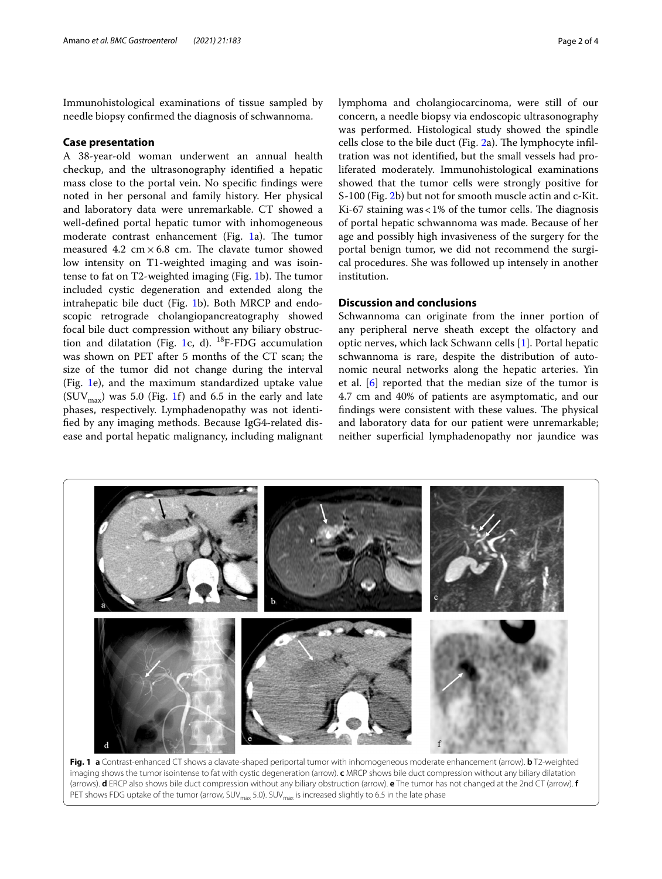Immunohistological examinations of tissue sampled by needle biopsy confrmed the diagnosis of schwannoma.

## **Case presentation**

A 38-year-old woman underwent an annual health checkup, and the ultrasonography identifed a hepatic mass close to the portal vein. No specifc fndings were noted in her personal and family history. Her physical and laboratory data were unremarkable. CT showed a well-defned portal hepatic tumor with inhomogeneous moderate contrast enhancement (Fig.  $1a$ ). The tumor measured 4.2  $\text{cm} \times 6.8 \text{ cm}$ . The clavate tumor showed low intensity on T1-weighted imaging and was isointense to fat on  $T2$ -weighted imaging (Fig. [1b](#page-1-0)). The tumor included cystic degeneration and extended along the intrahepatic bile duct (Fig. [1b](#page-1-0)). Both MRCP and endoscopic retrograde cholangiopancreatography showed focal bile duct compression without any biliary obstruc-tion and dilatation (Fig. [1](#page-1-0)c, d).  $^{18}$ F-FDG accumulation was shown on PET after 5 months of the CT scan; the size of the tumor did not change during the interval (Fig. [1e](#page-1-0)), and the maximum standardized uptake value  $(SUV_{max})$  was 5.0 (Fig. [1f](#page-1-0)) and 6.5 in the early and late phases, respectively. Lymphadenopathy was not identifed by any imaging methods. Because IgG4-related disease and portal hepatic malignancy, including malignant lymphoma and cholangiocarcinoma, were still of our concern, a needle biopsy via endoscopic ultrasonography was performed. Histological study showed the spindle cells close to the bile duct (Fig.  $2a$ ). The lymphocyte infiltration was not identifed, but the small vessels had proliferated moderately. Immunohistological examinations showed that the tumor cells were strongly positive for S-100 (Fig. [2b](#page-2-0)) but not for smooth muscle actin and c-Kit. Ki-67 staining was <  $1\%$  of the tumor cells. The diagnosis of portal hepatic schwannoma was made. Because of her age and possibly high invasiveness of the surgery for the portal benign tumor, we did not recommend the surgical procedures. She was followed up intensely in another institution.

## **Discussion and conclusions**

Schwannoma can originate from the inner portion of any peripheral nerve sheath except the olfactory and optic nerves, which lack Schwann cells [[1\]](#page-3-0). Portal hepatic schwannoma is rare, despite the distribution of autonomic neural networks along the hepatic arteries. Yin et al. [\[6](#page-3-2)] reported that the median size of the tumor is 4.7 cm and 40% of patients are asymptomatic, and our findings were consistent with these values. The physical and laboratory data for our patient were unremarkable; neither superfcial lymphadenopathy nor jaundice was



<span id="page-1-0"></span>**Fig. 1 a** Contrast-enhanced CT shows a clavate-shaped periportal tumor with inhomogeneous moderate enhancement (arrow). **b** T2-weighted imaging shows the tumor isointense to fat with cystic degeneration (arrow). **c** MRCP shows bile duct compression without any biliary dilatation (arrows). **d** ERCP also shows bile duct compression without any biliary obstruction (arrow). **e** The tumor has not changed at the 2nd CT (arrow). **f** PET shows FDG uptake of the tumor (arrow, SUV<sub>max</sub> 5.0). SUV<sub>max</sub> is increased slightly to 6.5 in the late phase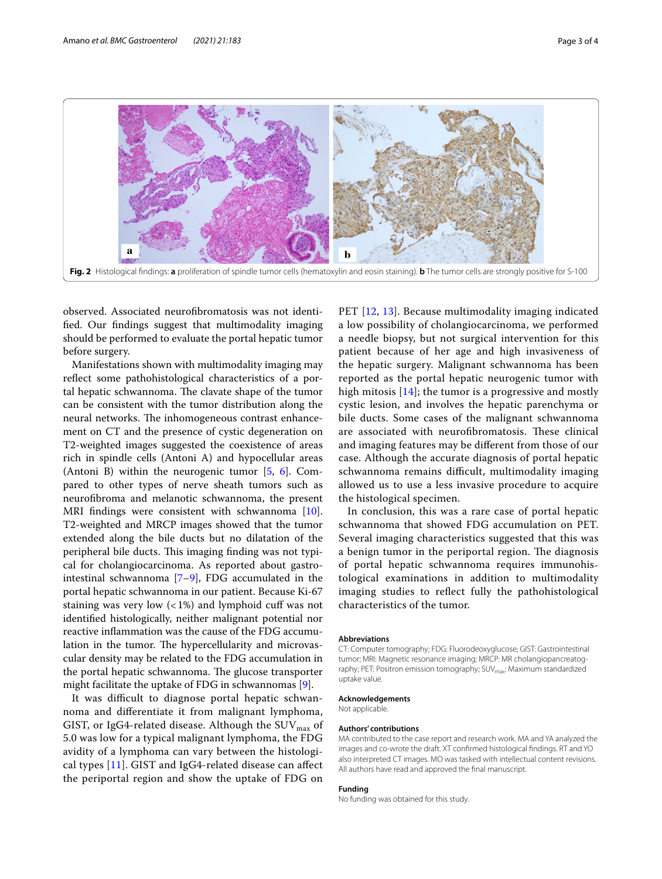

<span id="page-2-0"></span>observed. Associated neurofbromatosis was not identifed. Our fndings suggest that multimodality imaging should be performed to evaluate the portal hepatic tumor before surgery.

Manifestations shown with multimodality imaging may refect some pathohistological characteristics of a portal hepatic schwannoma. The clavate shape of the tumor can be consistent with the tumor distribution along the neural networks. The inhomogeneous contrast enhancement on CT and the presence of cystic degeneration on T2-weighted images suggested the coexistence of areas rich in spindle cells (Antoni A) and hypocellular areas (Antoni B) within the neurogenic tumor [[5,](#page-3-6) [6\]](#page-3-2). Compared to other types of nerve sheath tumors such as neurofbroma and melanotic schwannoma, the present MRI findings were consistent with schwannoma [\[10](#page-3-7)]. T2-weighted and MRCP images showed that the tumor extended along the bile ducts but no dilatation of the peripheral bile ducts. This imaging finding was not typical for cholangiocarcinoma. As reported about gastrointestinal schwannoma [[7–](#page-3-3)[9\]](#page-3-4), FDG accumulated in the portal hepatic schwannoma in our patient. Because Ki-67 staining was very low  $\left($  < 1%) and lymphoid cuff was not identifed histologically, neither malignant potential nor reactive infammation was the cause of the FDG accumulation in the tumor. The hypercellularity and microvascular density may be related to the FDG accumulation in the portal hepatic schwannoma. The glucose transporter might facilitate the uptake of FDG in schwannomas [\[9](#page-3-4)].

It was difficult to diagnose portal hepatic schwannoma and diferentiate it from malignant lymphoma, GIST, or IgG4-related disease. Although the  $\mathrm{SUV}_\mathrm{max}$  of 5.0 was low for a typical malignant lymphoma, the FDG avidity of a lymphoma can vary between the histological types  $[11]$ . GIST and IgG4-related disease can affect the periportal region and show the uptake of FDG on

PET [[12](#page-3-9), [13](#page-3-10)]. Because multimodality imaging indicated a low possibility of cholangiocarcinoma, we performed a needle biopsy, but not surgical intervention for this patient because of her age and high invasiveness of the hepatic surgery. Malignant schwannoma has been reported as the portal hepatic neurogenic tumor with high mitosis  $[14]$  $[14]$ ; the tumor is a progressive and mostly cystic lesion, and involves the hepatic parenchyma or bile ducts. Some cases of the malignant schwannoma are associated with neurofibromatosis. These clinical and imaging features may be diferent from those of our case. Although the accurate diagnosis of portal hepatic schwannoma remains difficult, multimodality imaging allowed us to use a less invasive procedure to acquire the histological specimen.

In conclusion, this was a rare case of portal hepatic schwannoma that showed FDG accumulation on PET. Several imaging characteristics suggested that this was a benign tumor in the periportal region. The diagnosis of portal hepatic schwannoma requires immunohistological examinations in addition to multimodality imaging studies to refect fully the pathohistological characteristics of the tumor.

#### **Abbreviations**

CT: Computer tomography; FDG: Fluorodeoxyglucose; GIST: Gastrointestinal tumor; MRI: Magnetic resonance imaging; MRCP: MR cholangiopancreatography; PET: Positron emission tomography; SUV<sub>max</sub>: Maximum standardized uptake value.

#### **Acknowledgements** Not applicable.

#### **Authors' contributions**

MA contributed to the case report and research work. MA and YA analyzed the images and co-wrote the draft. XT confrmed histological fndings. RT and YO also interpreted CT images. MO was tasked with intellectual content revisions. All authors have read and approved the fnal manuscript.

#### **Funding**

No funding was obtained for this study.